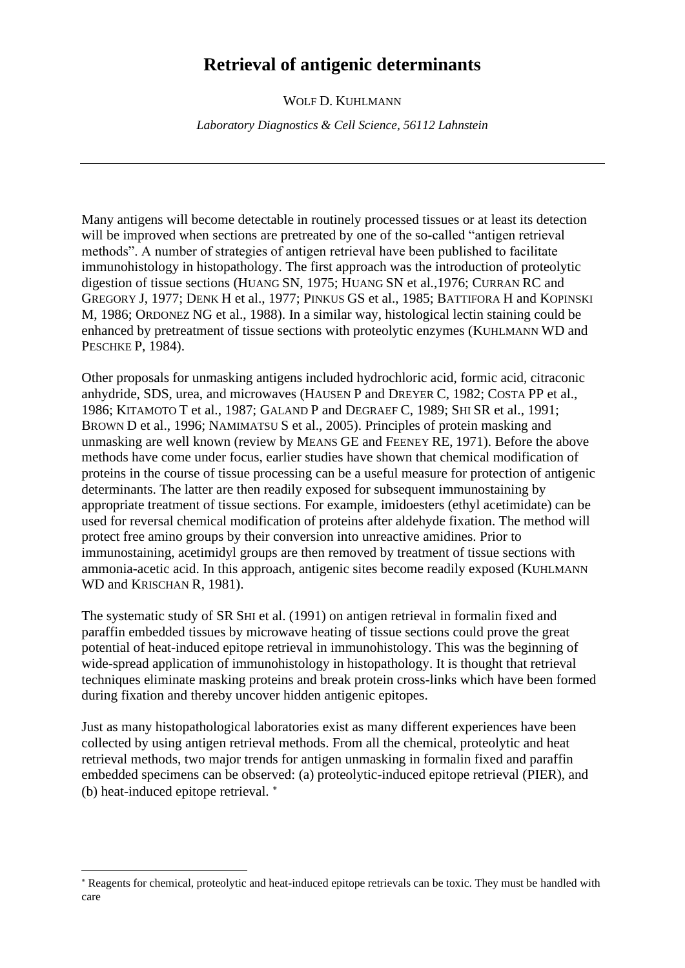# **Retrieval of antigenic determinants**

WOLF D. KUHLMANN

*Laboratory Diagnostics & Cell Science, 56112 Lahnstein*

Many antigens will become detectable in routinely processed tissues or at least its detection will be improved when sections are pretreated by one of the so-called "antigen retrieval" methods". A number of strategies of antigen retrieval have been published to facilitate immunohistology in histopathology. The first approach was the introduction of proteolytic digestion of tissue sections (HUANG SN, 1975; HUANG SN et al.,1976; CURRAN RC and GREGORY J, 1977; DENK H et al., 1977; PINKUS GS et al., 1985; BATTIFORA H and KOPINSKI M, 1986; ORDONEZ NG et al., 1988). In a similar way, histological lectin staining could be enhanced by pretreatment of tissue sections with proteolytic enzymes (KUHLMANN WD and PESCHKE P, 1984).

Other proposals for unmasking antigens included hydrochloric acid, formic acid, citraconic anhydride, SDS, urea, and microwaves (HAUSEN P and DREYER C, 1982; COSTA PP et al., 1986; KITAMOTO T et al., 1987; GALAND P and DEGRAEF C, 1989; SHI SR et al., 1991; BROWN D et al., 1996; NAMIMATSU S et al., 2005). Principles of protein masking and unmasking are well known (review by MEANS GE and FEENEY RE, 1971). Before the above methods have come under focus, earlier studies have shown that chemical modification of proteins in the course of tissue processing can be a useful measure for protection of antigenic determinants. The latter are then readily exposed for subsequent immunostaining by appropriate treatment of tissue sections. For example, imidoesters (ethyl acetimidate) can be used for reversal chemical modification of proteins after aldehyde fixation. The method will protect free amino groups by their conversion into unreactive amidines. Prior to immunostaining, acetimidyl groups are then removed by treatment of tissue sections with ammonia-acetic acid. In this approach, antigenic sites become readily exposed (KUHLMANN WD and KRISCHAN R, 1981).

The systematic study of SR SHI et al. (1991) on antigen retrieval in formalin fixed and paraffin embedded tissues by microwave heating of tissue sections could prove the great potential of heat-induced epitope retrieval in immunohistology. This was the beginning of wide-spread application of immunohistology in histopathology. It is thought that retrieval techniques eliminate masking proteins and break protein cross-links which have been formed during fixation and thereby uncover hidden antigenic epitopes.

Just as many histopathological laboratories exist as many different experiences have been collected by using antigen retrieval methods. From all the chemical, proteolytic and heat retrieval methods, two major trends for antigen unmasking in formalin fixed and paraffin embedded specimens can be observed: (a) proteolytic-induced epitope retrieval (PIER), and (b) heat-induced epitope retrieval.

Reagents for chemical, proteolytic and heat-induced epitope retrievals can be toxic. They must be handled with care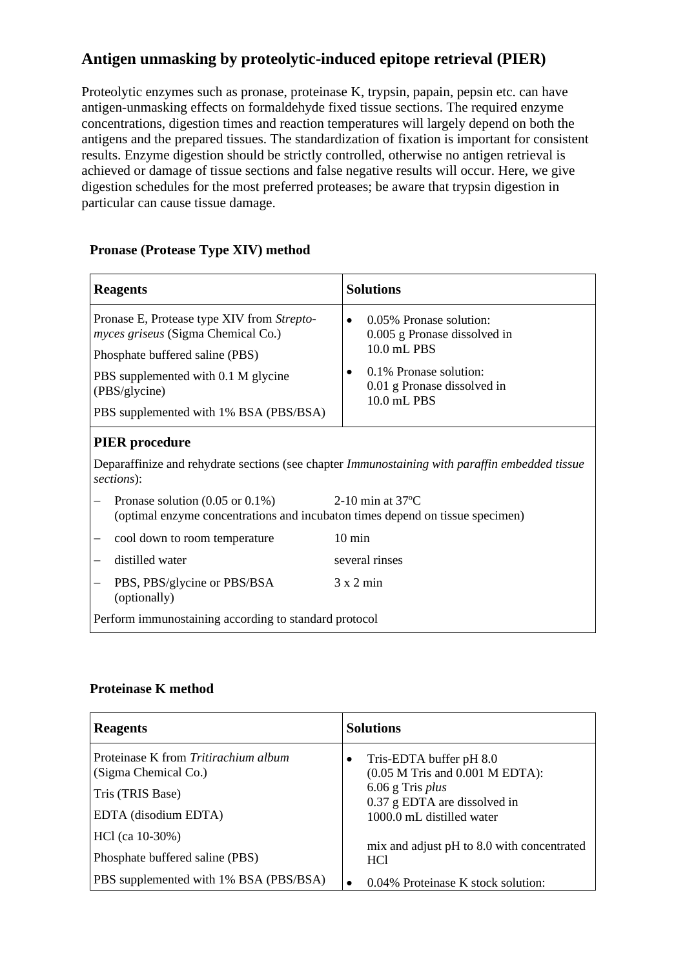## **Antigen unmasking by proteolytic-induced epitope retrieval (PIER)**

Proteolytic enzymes such as pronase, proteinase K, trypsin, papain, pepsin etc. can have antigen-unmasking effects on formaldehyde fixed tissue sections. The required enzyme concentrations, digestion times and reaction temperatures will largely depend on both the antigens and the prepared tissues. The standardization of fixation is important for consistent results. Enzyme digestion should be strictly controlled, otherwise no antigen retrieval is achieved or damage of tissue sections and false negative results will occur. Here, we give digestion schedules for the most preferred proteases; be aware that trypsin digestion in particular can cause tissue damage.

| <b>Reagents</b>                                                                                                                                                                                                              | <b>Solutions</b>                                                                                                                                            |  |  |
|------------------------------------------------------------------------------------------------------------------------------------------------------------------------------------------------------------------------------|-------------------------------------------------------------------------------------------------------------------------------------------------------------|--|--|
| Pronase E, Protease type XIV from Strepto-<br><i>myces griseus</i> (Sigma Chemical Co.)<br>Phosphate buffered saline (PBS)<br>PBS supplemented with 0.1 M glycine<br>(PBS/glycine)<br>PBS supplemented with 1% BSA (PBS/BSA) | 0.05% Pronase solution:<br>$\bullet$<br>0.005 g Pronase dissolved in<br>10.0 mL PBS<br>0.1% Pronase solution:<br>0.01 g Pronase dissolved in<br>10.0 mL PBS |  |  |
| <b>PIER</b> procedure<br>Deparaffinize and rehydrate sections (see chapter <i>Immunostaining with paraffin embedded tissue</i><br>sections):                                                                                 |                                                                                                                                                             |  |  |
| Pronase solution $(0.05 \text{ or } 0.1\%)$<br>2-10 min at $37^{\circ}$ C<br>(optimal enzyme concentrations and incubaton times depend on tissue specimen)                                                                   |                                                                                                                                                             |  |  |
| cool down to room temperature                                                                                                                                                                                                | $10 \text{ min}$                                                                                                                                            |  |  |
| distilled water                                                                                                                                                                                                              | several rinses                                                                                                                                              |  |  |
| PBS, PBS/glycine or PBS/BSA<br>(optionally)                                                                                                                                                                                  | $3 \times 2$ min                                                                                                                                            |  |  |
| Perform immunostaining according to standard protocol                                                                                                                                                                        |                                                                                                                                                             |  |  |

#### **Pronase (Protease Type XIV) method**

#### **Proteinase K method**

| <b>Reagents</b>                                              | <b>Solutions</b>                                                                       |
|--------------------------------------------------------------|----------------------------------------------------------------------------------------|
| Proteinase K from Tritirachium album<br>(Sigma Chemical Co.) | Tris-EDTA buffer pH 8.0<br>٠<br>$(0.05$ M Tris and $0.001$ M EDTA):                    |
| Tris (TRIS Base)                                             | $6.06$ g Tris <i>plus</i><br>0.37 g EDTA are dissolved in<br>1000.0 mL distilled water |
| EDTA (disodium EDTA)                                         |                                                                                        |
| $HCl$ (ca 10-30%)                                            |                                                                                        |
| Phosphate buffered saline (PBS)                              | mix and adjust pH to 8.0 with concentrated<br>HC <sub>1</sub>                          |
| PBS supplemented with 1% BSA (PBS/BSA)                       | 0.04% Proteinase K stock solution:<br>٠                                                |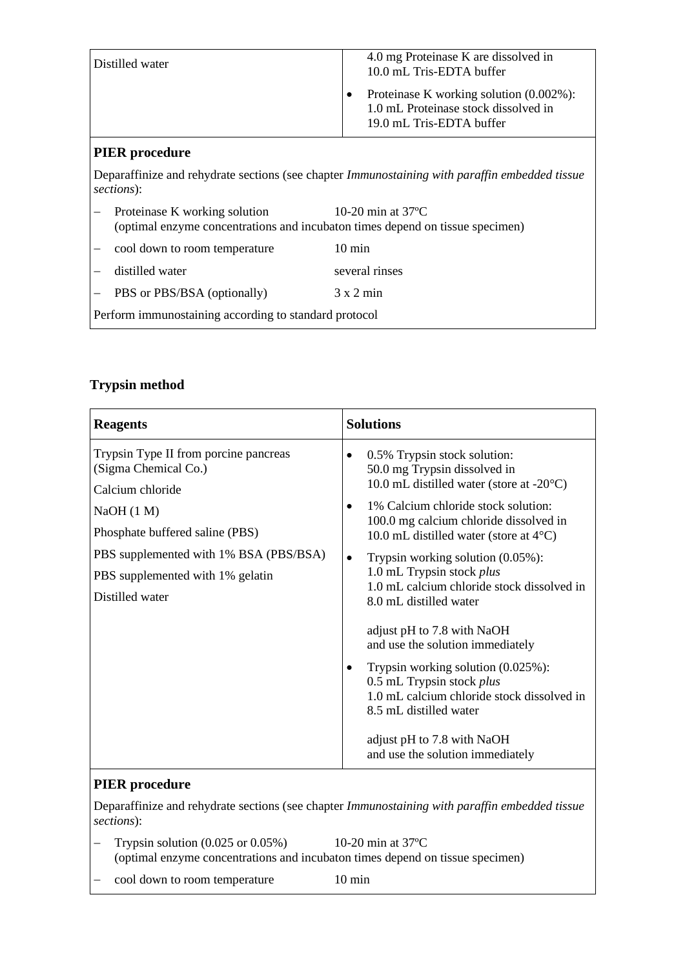|                                                                                                                     | Distilled water                                                                                                                               | 4.0 mg Proteinase K are dissolved in<br>10.0 mL Tris-EDTA buffer<br>Proteinase K working solution (0.002%):<br>1.0 mL Proteinase stock dissolved in<br>19.0 mL Tris-EDTA buffer |
|---------------------------------------------------------------------------------------------------------------------|-----------------------------------------------------------------------------------------------------------------------------------------------|---------------------------------------------------------------------------------------------------------------------------------------------------------------------------------|
| <b>PIER</b> procedure                                                                                               |                                                                                                                                               |                                                                                                                                                                                 |
| Deparaffinize and rehydrate sections (see chapter <i>Immunostaining with paraffin embedded tissue</i><br>sections): |                                                                                                                                               |                                                                                                                                                                                 |
|                                                                                                                     | 10-20 min at $37^{\circ}$ C<br>Proteinase K working solution<br>(optimal enzyme concentrations and incubaton times depend on tissue specimen) |                                                                                                                                                                                 |
|                                                                                                                     | cool down to room temperature                                                                                                                 | $10 \text{ min}$                                                                                                                                                                |
|                                                                                                                     | distilled water                                                                                                                               | several rinses                                                                                                                                                                  |
|                                                                                                                     | PBS or PBS/BSA (optionally)                                                                                                                   | $3 \times 2$ min                                                                                                                                                                |
| Perform immunostaining according to standard protocol                                                               |                                                                                                                                               |                                                                                                                                                                                 |

### **Trypsin method**

| <b>Reagents</b>                                               | <b>Solutions</b>                                                                                                                                         |
|---------------------------------------------------------------|----------------------------------------------------------------------------------------------------------------------------------------------------------|
| Trypsin Type II from porcine pancreas<br>(Sigma Chemical Co.) | 0.5% Trypsin stock solution:<br>$\bullet$<br>50.0 mg Trypsin dissolved in                                                                                |
| Calcium chloride                                              | 10.0 mL distilled water (store at $-20^{\circ}$ C)                                                                                                       |
| NaOH(1 M)                                                     | 1% Calcium chloride stock solution:<br>$\bullet$                                                                                                         |
| Phosphate buffered saline (PBS)                               | 100.0 mg calcium chloride dissolved in<br>10.0 mL distilled water (store at $4^{\circ}$ C)                                                               |
| PBS supplemented with 1% BSA (PBS/BSA)                        | Trypsin working solution $(0.05\%)$ :<br>$\bullet$                                                                                                       |
| PBS supplemented with 1% gelatin                              | 1.0 mL Trypsin stock plus                                                                                                                                |
| Distilled water                                               | 1.0 mL calcium chloride stock dissolved in<br>8.0 mL distilled water                                                                                     |
|                                                               | adjust pH to 7.8 with NaOH<br>and use the solution immediately                                                                                           |
|                                                               | Trypsin working solution $(0.025\%)$ :<br>$\bullet$<br>0.5 mL Trypsin stock plus<br>1.0 mL calcium chloride stock dissolved in<br>8.5 mL distilled water |
|                                                               | adjust pH to 7.8 with NaOH<br>and use the solution immediately                                                                                           |
|                                                               |                                                                                                                                                          |

### **PIER procedure**

Deparaffinize and rehydrate sections (see chapter *Immunostaining with paraffin embedded tissue sections*):

- − Trypsin solution (0.025 or 0.05%) 10-20 min at 37ºC (optimal enzyme concentrations and incubaton times depend on tissue specimen)
- − cool down to room temperature 10 min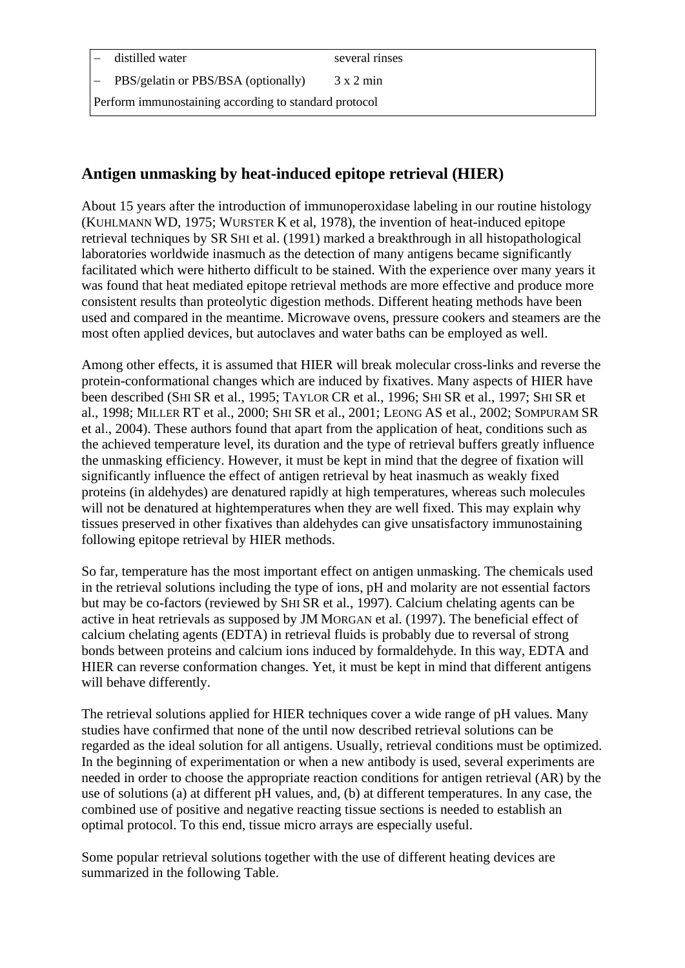distilled water several rinses

PBS/gelatin or PBS/BSA (optionally) 3 x 2 min

Perform immunostaining according to standard protocol

# **Antigen unmasking by heat-induced epitope retrieval (HIER)**

About 15 years after the introduction of immunoperoxidase labeling in our routine histology (KUHLMANN WD, 1975; WURSTER K et al, 1978), the invention of heat-induced epitope retrieval techniques by SR SHI et al. (1991) marked a breakthrough in all histopathological laboratories worldwide inasmuch as the detection of many antigens became significantly facilitated which were hitherto difficult to be stained. With the experience over many years it was found that heat mediated epitope retrieval methods are more effective and produce more consistent results than proteolytic digestion methods. Different heating methods have been used and compared in the meantime. Microwave ovens, pressure cookers and steamers are the most often applied devices, but autoclaves and water baths can be employed as well.

Among other effects, it is assumed that HIER will break molecular cross-links and reverse the protein-conformational changes which are induced by fixatives. Many aspects of HIER have been described (SHI SR et al., 1995; TAYLOR CR et al., 1996; SHI SR et al., 1997; SHI SR et al., 1998; MILLER RT et al., 2000; SHI SR et al., 2001; LEONG AS et al., 2002; SOMPURAM SR et al., 2004). These authors found that apart from the application of heat, conditions such as the achieved temperature level, its duration and the type of retrieval buffers greatly influence the unmasking efficiency. However, it must be kept in mind that the degree of fixation will significantly influence the effect of antigen retrieval by heat inasmuch as weakly fixed proteins (in aldehydes) are denatured rapidly at high temperatures, whereas such molecules will not be denatured at hightemperatures when they are well fixed. This may explain why tissues preserved in other fixatives than aldehydes can give unsatisfactory immunostaining following epitope retrieval by HIER methods.

So far, temperature has the most important effect on antigen unmasking. The chemicals used in the retrieval solutions including the type of ions, pH and molarity are not essential factors but may be co-factors (reviewed by SHI SR et al., 1997). Calcium chelating agents can be active in heat retrievals as supposed by JM MORGAN et al. (1997). The beneficial effect of calcium chelating agents (EDTA) in retrieval fluids is probably due to reversal of strong bonds between proteins and calcium ions induced by formaldehyde. In this way, EDTA and HIER can reverse conformation changes. Yet, it must be kept in mind that different antigens will behave differently.

The retrieval solutions applied for HIER techniques cover a wide range of pH values. Many studies have confirmed that none of the until now described retrieval solutions can be regarded as the ideal solution for all antigens. Usually, retrieval conditions must be optimized. In the beginning of experimentation or when a new antibody is used, several experiments are needed in order to choose the appropriate reaction conditions for antigen retrieval (AR) by the use of solutions (a) at different pH values, and, (b) at different temperatures. In any case, the combined use of positive and negative reacting tissue sections is needed to establish an optimal protocol. To this end, tissue micro arrays are especially useful.

Some popular retrieval solutions together with the use of different heating devices are summarized in the following Table.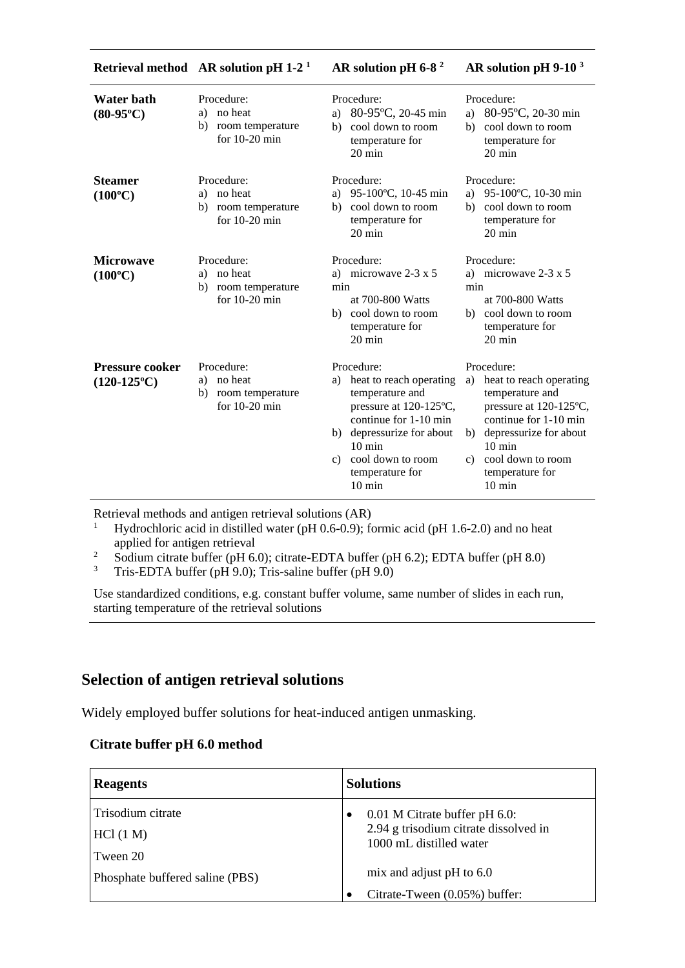|                                                | Retrieval method $AR$ solution pH 1-2 <sup>1</sup>                       | AR solution pH 6-8 $^2$                                                                                                                                                                                                           | AR solution pH 9-10 <sup>3</sup>                                                                                                                                                                                                                 |
|------------------------------------------------|--------------------------------------------------------------------------|-----------------------------------------------------------------------------------------------------------------------------------------------------------------------------------------------------------------------------------|--------------------------------------------------------------------------------------------------------------------------------------------------------------------------------------------------------------------------------------------------|
| <b>Water bath</b><br>$(80-95^{\circ}C)$        | Procedure:<br>no heat<br>a)<br>room temperature<br>b)<br>for $10-20$ min | Procedure:<br>a) 80-95°C, 20-45 min<br>cool down to room<br>b)<br>temperature for<br>$20 \text{ min}$                                                                                                                             | Procedure:<br>80-95°C, 20-30 min<br>a)<br>cool down to room<br>b)<br>temperature for<br>$20 \text{ min}$                                                                                                                                         |
| <b>Steamer</b><br>$(100^{\circ}C)$             | Procedure:<br>no heat<br>a)<br>room temperature<br>b)<br>for $10-20$ min | Procedure:<br>95-100°C, 10-45 min<br>a)<br>cool down to room<br>b)<br>temperature for<br>20 min                                                                                                                                   | Procedure:<br>95-100°C, 10-30 min<br>a)<br>cool down to room<br>b)<br>temperature for<br>20 min                                                                                                                                                  |
| <b>Microwave</b><br>$(100^{\circ}C)$           | Procedure:<br>no heat<br>a)<br>room temperature<br>b)<br>for $10-20$ min | Procedure:<br>a) microwave $2-3 \times 5$<br>min<br>at 700-800 Watts<br>cool down to room<br>b)<br>temperature for<br>20 min                                                                                                      | Procedure:<br>a) microwave $2-3 \times 5$<br>min<br>at 700-800 Watts<br>cool down to room<br>b)<br>temperature for<br>20 min                                                                                                                     |
| <b>Pressure cooker</b><br>$(120-125^{\circ}C)$ | Procedure:<br>a) no heat<br>room temperature<br>b)<br>for $10-20$ min    | Procedure:<br>a) heat to reach operating<br>temperature and<br>pressure at 120-125°C,<br>continue for 1-10 min<br>b) depressurize for about<br>$10 \text{ min}$<br>cool down to room<br>c)<br>temperature for<br>$10 \text{ min}$ | Procedure:<br>heat to reach operating<br>a)<br>temperature and<br>pressure at 120-125°C,<br>continue for 1-10 min<br>b) depressurize for about<br>$10 \text{ min}$<br>cool down to room<br>$\mathbf{c}$ )<br>temperature for<br>$10 \text{ min}$ |

Retrieval methods and antigen retrieval solutions (AR)

<sup>1</sup> Hydrochloric acid in distilled water (pH 0.6-0.9); formic acid (pH 1.6-2.0) and no heat applied for antigen retrieval

<sup>2</sup> Sodium citrate buffer (pH 6.0); citrate-EDTA buffer (pH 6.2); EDTA buffer (pH 8.0)<br><sup>3</sup> Tris-EDTA buffer (pH 9.0); Tris-saline buffer (pH 9.0)

Tris-EDTA buffer (pH 9.0); Tris-saline buffer (pH 9.0)

Use standardized conditions, e.g. constant buffer volume, same number of slides in each run, starting temperature of the retrieval solutions

## **Selection of antigen retrieval solutions**

Widely employed buffer solutions for heat-induced antigen unmasking.

#### **Citrate buffer pH 6.0 method**

| <b>Reagents</b>                 | <b>Solutions</b>                                                 |
|---------------------------------|------------------------------------------------------------------|
| Trisodium citrate               | 0.01 M Citrate buffer pH 6.0:<br>$\bullet$                       |
| HCl (1 M)                       | 2.94 g trisodium citrate dissolved in<br>1000 mL distilled water |
| Tween 20                        |                                                                  |
| Phosphate buffered saline (PBS) | mix and adjust pH to $6.0$                                       |
|                                 | Citrate-Tween (0.05%) buffer:                                    |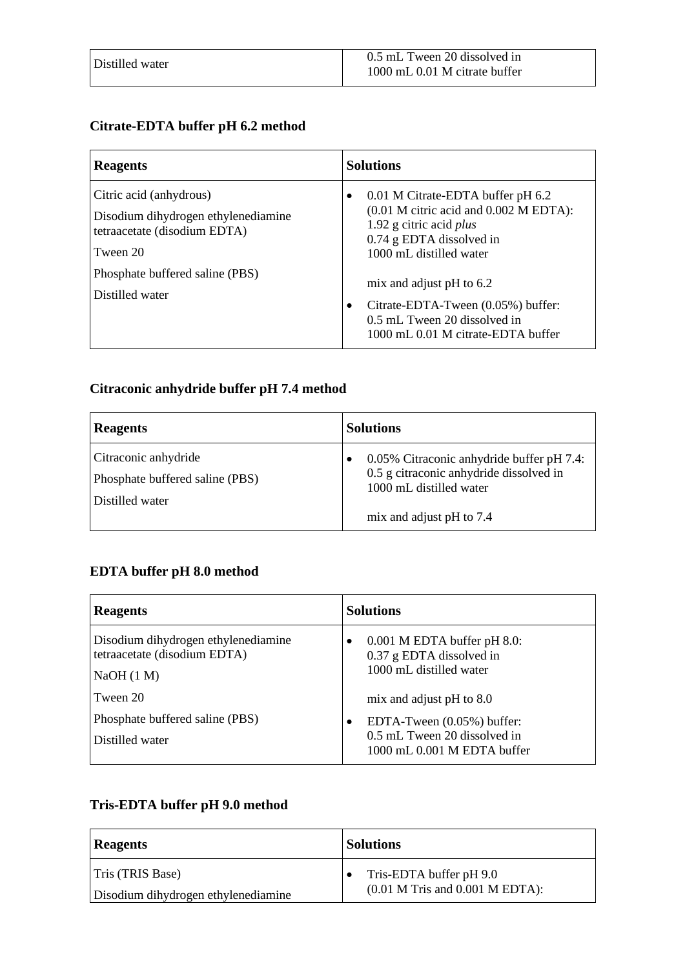### **Citrate-EDTA buffer pH 6.2 method**

| <b>Reagents</b>                                                                                            | <b>Solutions</b>                                                                                                                                                                                                |
|------------------------------------------------------------------------------------------------------------|-----------------------------------------------------------------------------------------------------------------------------------------------------------------------------------------------------------------|
| Citric acid (anhydrous)<br>Disodium dihydrogen ethylenediamine<br>tetraacetate (disodium EDTA)<br>Tween 20 | 0.01 M Citrate-EDTA buffer pH 6.2<br>٠<br>$(0.01 \text{ M} \text{ citric acid and } 0.002 \text{ M} \text{ EDTA})$ :<br>1.92 g citric acid <i>plus</i><br>$0.74$ g EDTA dissolved in<br>1000 mL distilled water |
| Phosphate buffered saline (PBS)<br>Distilled water                                                         | mix and adjust $pH$ to 6.2<br>Citrate-EDTA-Tween (0.05%) buffer:<br>0.5 mL Tween 20 dissolved in<br>1000 mL 0.01 M citrate-EDTA buffer                                                                          |

### **Citraconic anhydride buffer pH 7.4 method**

| <b>Reagents</b>                                                            | <b>Solutions</b>                                                                                                |
|----------------------------------------------------------------------------|-----------------------------------------------------------------------------------------------------------------|
| Citraconic anhydride<br>Phosphate buffered saline (PBS)<br>Distilled water | 0.05% Citraconic anhydride buffer pH 7.4:<br>0.5 g citraconic anhydride dissolved in<br>1000 mL distilled water |
|                                                                            | mix and adjust pH to 7.4                                                                                        |

### **EDTA buffer pH 8.0 method**

| <b>Reagents</b>                                                                  | <b>Solutions</b>                                                                                  |
|----------------------------------------------------------------------------------|---------------------------------------------------------------------------------------------------|
| Disodium dihydrogen ethylenediamine<br>tetraacetate (disodium EDTA)<br>NaOH(1 M) | $0.001$ M EDTA buffer pH 8.0:<br>$\bullet$<br>0.37 g EDTA dissolved in<br>1000 mL distilled water |
| Tween 20                                                                         | mix and adjust $pH$ to 8.0                                                                        |
| Phosphate buffered saline (PBS)                                                  | EDTA-Tween $(0.05\%)$ buffer:                                                                     |
| Distilled water                                                                  | 0.5 mL Tween 20 dissolved in<br>1000 mL 0.001 M EDTA buffer                                       |

# **Tris-EDTA buffer pH 9.0 method**

| <b>Reagents</b>                     | <b>Solutions</b>                    |
|-------------------------------------|-------------------------------------|
| Tris (TRIS Base)                    | Tris-EDTA buffer pH 9.0             |
| Disodium dihydrogen ethylenediamine | $(0.01$ M Tris and $0.001$ M EDTA): |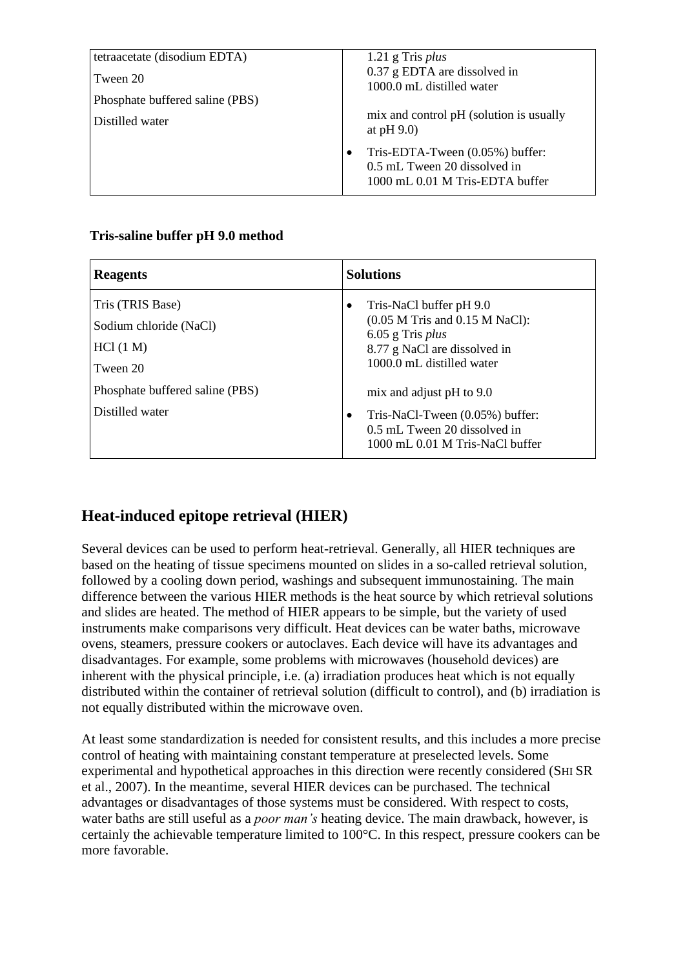| tetraacetate (disodium EDTA)<br>Tween 20 | $1.21$ g Tris plus<br>0.37 g EDTA are dissolved in                                                    |
|------------------------------------------|-------------------------------------------------------------------------------------------------------|
| Phosphate buffered saline (PBS)          | 1000.0 mL distilled water                                                                             |
| Distilled water                          | mix and control pH (solution is usually<br>at $pH$ 9.0)                                               |
|                                          | Tris-EDTA-Tween $(0.05\%)$ buffer:<br>0.5 mL Tween 20 dissolved in<br>1000 mL 0.01 M Tris-EDTA buffer |

#### **Tris-saline buffer pH 9.0 method**

| <b>Reagents</b>                                                     | <b>Solutions</b>                                                                                                                                      |
|---------------------------------------------------------------------|-------------------------------------------------------------------------------------------------------------------------------------------------------|
| Tris (TRIS Base)<br>Sodium chloride (NaCl)<br>HCl (1 M)<br>Tween 20 | Tris-NaCl buffer pH 9.0<br>٠<br>$(0.05$ M Tris and $0.15$ M NaCl):<br>$6.05$ g Tris plus<br>8.77 g NaCl are dissolved in<br>1000.0 mL distilled water |
| Phosphate buffered saline (PBS)<br>Distilled water                  | mix and adjust $pH$ to 9.0<br>Tris-NaCl-Tween $(0.05\%)$ buffer:<br>0.5 mL Tween 20 dissolved in<br>1000 mL 0.01 M Tris-NaCl buffer                   |

# **Heat-induced epitope retrieval (HIER)**

Several devices can be used to perform heat-retrieval. Generally, all HIER techniques are based on the heating of tissue specimens mounted on slides in a so-called retrieval solution, followed by a cooling down period, washings and subsequent immunostaining. The main difference between the various HIER methods is the heat source by which retrieval solutions and slides are heated. The method of HIER appears to be simple, but the variety of used instruments make comparisons very difficult. Heat devices can be water baths, microwave ovens, steamers, pressure cookers or autoclaves. Each device will have its advantages and disadvantages. For example, some problems with microwaves (household devices) are inherent with the physical principle, i.e. (a) irradiation produces heat which is not equally distributed within the container of retrieval solution (difficult to control), and (b) irradiation is not equally distributed within the microwave oven.

At least some standardization is needed for consistent results, and this includes a more precise control of heating with maintaining constant temperature at preselected levels. Some experimental and hypothetical approaches in this direction were recently considered (SHI SR et al., 2007). In the meantime, several HIER devices can be purchased. The technical advantages or disadvantages of those systems must be considered. With respect to costs, water baths are still useful as a *poor man's* heating device. The main drawback, however, is certainly the achievable temperature limited to 100°C. In this respect, pressure cookers can be more favorable.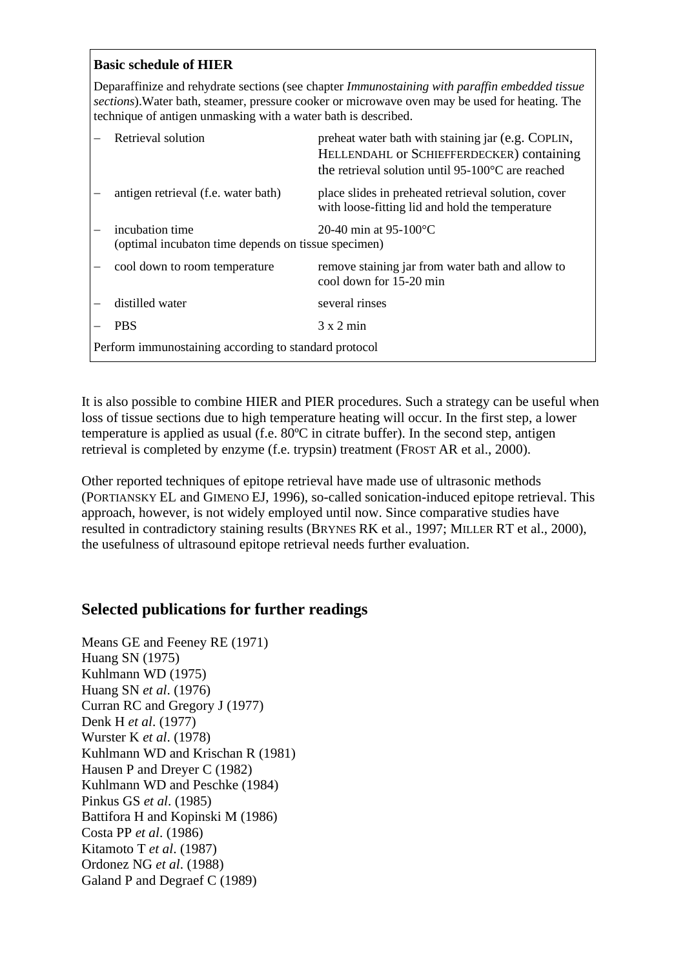#### **Basic schedule of HIER**

Deparaffinize and rehydrate sections (see chapter *Immunostaining with paraffin embedded tissue sections*).Water bath, steamer, pressure cooker or microwave oven may be used for heating. The technique of antigen unmasking with a water bath is described.

|                                                       | Retrieval solution                                                                                        | preheat water bath with staining jar (e.g. COPLIN,<br>HELLENDAHL OF SCHIEFFERDECKER) containing<br>the retrieval solution until 95-100 $\degree$ C are reached |
|-------------------------------------------------------|-----------------------------------------------------------------------------------------------------------|----------------------------------------------------------------------------------------------------------------------------------------------------------------|
|                                                       | antigen retrieval (f.e. water bath)                                                                       | place slides in preheated retrieval solution, cover<br>with loose-fitting lid and hold the temperature                                                         |
|                                                       | incubation time<br>20-40 min at $95-100^{\circ}$ C<br>(optimal incubaton time depends on tissue specimen) |                                                                                                                                                                |
|                                                       | cool down to room temperature                                                                             | remove staining jar from water bath and allow to<br>cool down for 15-20 min                                                                                    |
|                                                       | distilled water                                                                                           | several rinses                                                                                                                                                 |
|                                                       | <b>PBS</b>                                                                                                | $3 \times 2$ min                                                                                                                                               |
| Perform immunostaining according to standard protocol |                                                                                                           |                                                                                                                                                                |

It is also possible to combine HIER and PIER procedures. Such a strategy can be useful when loss of tissue sections due to high temperature heating will occur. In the first step, a lower temperature is applied as usual (f.e. 80ºC in citrate buffer). In the second step, antigen retrieval is completed by enzyme (f.e. trypsin) treatment (FROST AR et al., 2000).

Other reported techniques of epitope retrieval have made use of ultrasonic methods (PORTIANSKY EL and GIMENO EJ, 1996), so-called sonication-induced epitope retrieval. This approach, however, is not widely employed until now. Since comparative studies have resulted in contradictory staining results (BRYNES RK et al., 1997; MILLER RT et al., 2000), the usefulness of ultrasound epitope retrieval needs further evaluation.

### **Selected publications for further readings**

Means GE and Feeney RE (1971) Huang SN (1975) Kuhlmann WD (1975) Huang SN *et al*. (1976) Curran RC and Gregory J (1977) Denk H *et al*. (1977) Wurster K *et al*. (1978) Kuhlmann WD and Krischan R (1981) Hausen P and Dreyer C (1982) Kuhlmann WD and Peschke (1984) Pinkus GS *et al*. (1985) Battifora H and Kopinski M (1986) Costa PP *et al*. (1986) Kitamoto T *et al*. (1987) Ordonez NG *et al*. (1988) Galand P and Degraef C (1989)